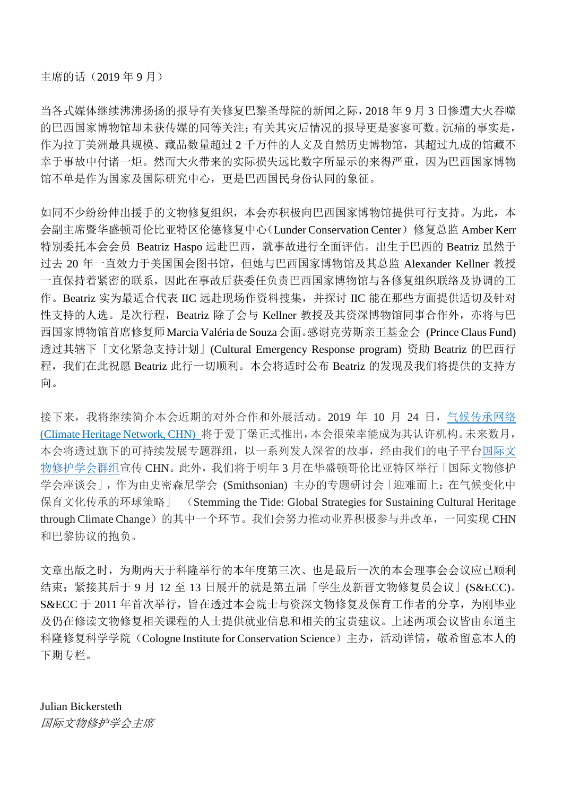当各式媒体继续沸沸扬扬的报导有关修复巴黎圣母院的新闻之际,2018 年 9 月 3 日惨遭大火吞噬 的巴西国家博物馆却未获传媒的同等关注;有关其灾后情况的报导更是寥寥可数。沉痛的事实是, 作为拉丁美洲最具规模、藏品数量超过 2 千万件的人文及自然历史博物馆,其超过九成的馆藏不 幸于事故中付诸一炬。然而大火带来的实际损失远比数字所显示的来得严重,因为巴西国家博物 馆不单是作为国家及国际研究中心,更是巴西国民身份认同的象征。

如同不少纷纷伸出援手的文物修复组织,本会亦积极向巴西国家博物馆提供可行支持。为此,本 会副主席暨华盛顿哥伦比亚特区伦德修复中心(Lunder Conservation Center)修复总监 Amber Kerr 特别委托本会会员 Beatriz Haspo 远赴巴西, 就事故进行全面评估。出生于巴西的 Beatriz 虽然于 过去 20 年一直效力于美国国会图书馆,但她与巴西国家博物馆及其总监 Alexander Kellner 教授 一直保持着紧密的联系,因此在事故后获委任负责巴西国家博物馆与各修复组织联络及协调的工 作。Beatriz 实为最适合代表 IIC 远赴现场作资料搜集,并探讨 IIC 能在那些方面提供适切及针对 性支持的人选。是次行程,Beatriz 除了会与 Kellner 教授及其资深博物馆同事合作外,亦将与巴 西国家博物馆首席修复师Marcia Valéria de Souza会面。感谢克劳斯亲王基金会 (Prince Claus Fund) 透过其辖下「文化紧急支持计划」(Cultural Emergency Response program) 资助 Beatriz 的巴西行 程,我们在此祝愿 Beatriz 此行一切顺利。本会将适时公布 Beatriz 的发现及我们将提供的支持方 向。

接下来,我将继续简介本会近期的对外合作和外展活动。2019 年 10 月 24 日[,气候传承网络](http://climateheritage.org/) [\(Climate Heritage Network, CHN\)](http://climateheritage.org/) 将于爱丁堡正式推出,本会很荣幸能成为其认许机构。未来数月, 本会将透过旗下的可持续发展专题群组,以一系列发人深省的故事,经由我们的电子平[台国际文](https://iiconservation-community.org/) [物修护学会群组宣](https://iiconservation-community.org/)传 CHN。此外,我们将于明年 3 月在华盛顿哥伦比亚特区举行「国际文物修护 学会座谈会」,作为由史密森尼学会 (Smithsonian) 主办的专题研讨会 「迎难而上: 在气候变化中 保育文化传承的环球策略」 (Stemming the Tide: Global Strategies for Sustaining Cultural Heritage through Climate Change)的其中一个环节。我们会努力推动业界积极参与并改革,一同实现 CHN 和巴黎协议的抱负。

文章出版之时,为期两天于科隆举行的本年度第三次、也是最后一次的本会理事会会议应已顺利 结束;紧接其后于 9 月 12 至 13 日展开的就是第五届「学生及新晋文物修复员会议」(S&ECC)。 S&ECC 于 2011 年首次举行, 旨在透过本会院士与资深文物修复及保育工作者的分享, 为刚毕业 及仍在修读文物修复相关课程的人士提供就业信息和相关的宝贵建议。上述两项会议皆由东道主 科隆修复科学学院(Cologne Institute for Conservation Science)主办,活动详情,敬希留意本人的 下期专栏。

Julian Bickersteth 国际文物修护学会主席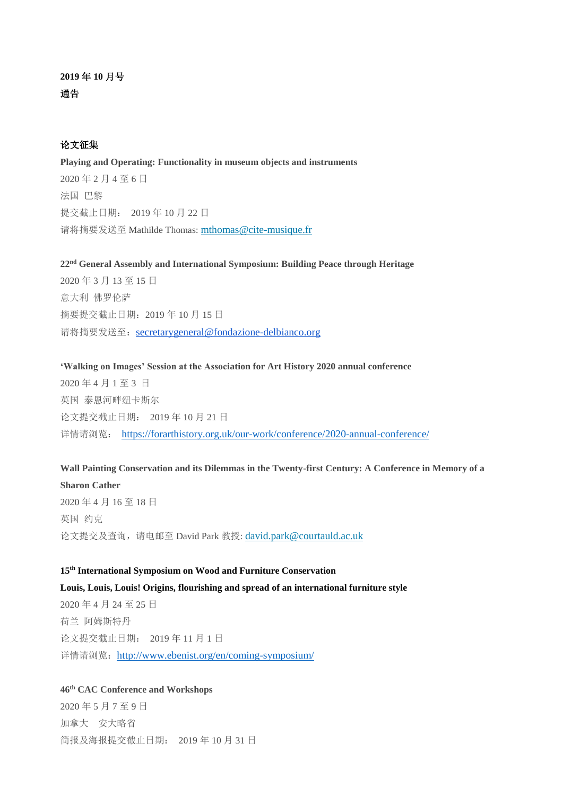# 论文征集

**Playing and Operating: Functionality in museum objects and instruments** 2020 年 2 月 4 至 6 日 法国 巴黎 提交截止日期: 2019 年 10 月 22 日 请将摘要发送至 Mathilde Thomas: [mthomas@cite-musique.fr](mailto:mthomas@cite-musique.fr)

**22nd General Assembly and International Symposium: Building Peace through Heritage** 2020 年 3 月 13 至 15 日 意大利 佛罗伦萨 摘要提交截止日期:2019 年 10 月 15 日 请将摘要发送至: [secretarygeneral@fondazione-delbianco.org](mailto:secretarygeneral@fondazione-delbianco.org)

**'Walking on Images' Session at the Association for Art History 2020 annual conference** 2020 年 4 月 1 至 3 日 英国 泰恩河畔纽卡斯尔 论文提交截止日期: 2019 年 10 月 21 日 详情请浏览: <https://forarthistory.org.uk/our-work/conference/2020-annual-conference/>

**Wall Painting Conservation and its Dilemmas in the Twenty-first Century: A Conference in Memory of a** 

**Sharon Cather** 2020 年 4 月 16 至 18 日 英国 约克 论文提交及查询,请电邮至 David Park 教授: [david.park@courtauld.ac.uk](mailto:david.park@courtauld.ac.uk)

#### **15th International Symposium on Wood and Furniture Conservation**

**Louis, Louis, Louis! Origins, flourishing and spread of an international furniture style** 2020 年 4 月 24 至 25 日 荷兰 阿姆斯特丹 论文提交截止日期: 2019 年 11 月 1 日 详情请浏览: <http://www.ebenist.org/en/coming-symposium/>

# **46th CAC Conference and Workshops**

2020 年 5 月 7 至 9 日 加拿大 安大略省 简报及海报提交截止日期: 2019 年 10 月 31 日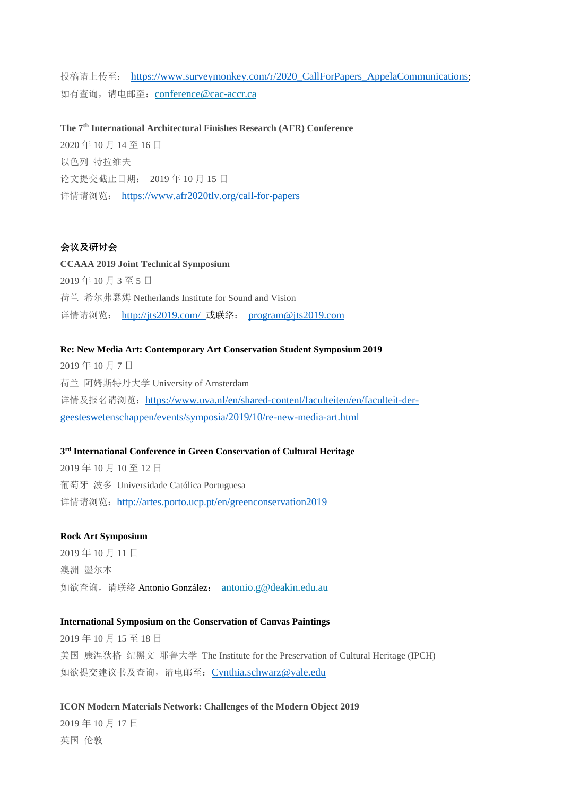投稿请上传至: [https://www.surveymonkey.com/r/2020\\_CallForPapers\\_AppelaCommunications](https://www.surveymonkey.com/r/2020_CallForPapers_AppelaCommunications); 如有查询,请电邮至: [conference@cac-accr.ca](mailto:conference@cac-accr.ca)

**The 7th International Architectural Finishes Research (AFR) Conference** 2020 年 10 月 14 至 16 日 以色列 特拉维夫 论文提交截止日期: 2019 年 10 月 15 日 详情请浏览: <https://www.afr2020tlv.org/call-for-papers>

# 会议及研讨会

**CCAAA 2019 Joint Technical Symposium** 2019 年 10 月 3 至 5 日 荷兰 希尔弗瑟姆 Netherlands Institute for Sound and Vision 详情请浏览: <http://jts2019.com/> 或联络: [program@jts2019.com](mailto:program@jts2019.com)

#### **Re: New Media Art: Contemporary Art Conservation Student Symposium 2019**

2019 年 10 月 7 日 荷兰 阿姆斯特丹大学 University of Amsterdam 详情及报名请浏览: [https://www.uva.nl/en/shared-content/faculteiten/en/faculteit-der](https://www.uva.nl/en/shared-content/faculteiten/en/faculteit-der-geesteswetenschappen/events/symposia/2019/10/re-new-media-art.html)[geesteswetenschappen/events/symposia/2019/10/re-new-media-art.html](https://www.uva.nl/en/shared-content/faculteiten/en/faculteit-der-geesteswetenschappen/events/symposia/2019/10/re-new-media-art.html)

#### **3 rd International Conference in Green Conservation of Cultural Heritage**

2019 年 10 月 10 至 12 日 葡萄牙 波多 Universidade Católica Portuguesa 详情请浏览: <http://artes.porto.ucp.pt/en/greenconservation2019>

#### **Rock Art Symposium**

2019 年 10 月 11 日 澳洲 墨尔本 如欲查询,请联络 Antonio González: [antonio.g@deakin.edu.au](mailto:antonio.g@deakin.edu.au)

# **International Symposium on the Conservation of Canvas Paintings**

2019 年 10 月 15 至 18 日 美国 康涅狄格 纽黑文 耶鲁大学 The Institute for the Preservation of Cultural Heritage (IPCH) 如欲提交建议书及查询,请电邮至:[Cynthia.schwarz@yale.edu](mailto:Cynthia.schwarz@yale.edu)

**ICON Modern Materials Network: Challenges of the Modern Object 2019** 2019 年 10 月 17 日 英国 伦敦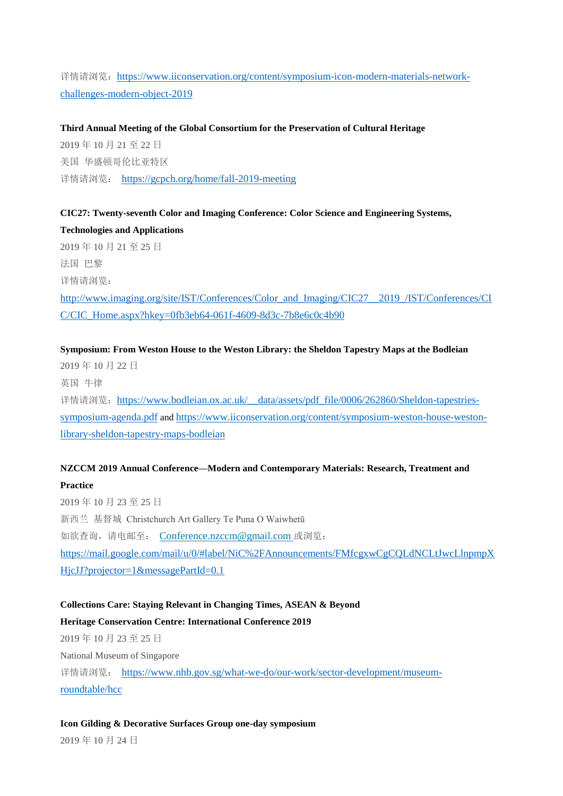详情请浏览: [https://www.iiconservation.org/content/symposium-icon-modern-materials-network](https://www.iiconservation.org/content/symposium-icon-modern-materials-network-challenges-modern-object-2019)[challenges-modern-object-2019](https://www.iiconservation.org/content/symposium-icon-modern-materials-network-challenges-modern-object-2019)

**Third Annual Meeting of the Global Consortium for the Preservation of Cultural Heritage** 2019 年 10 月 21 至 22 日 美国 华盛顿哥伦比亚特区 详情请浏览: <https://gcpch.org/home/fall-2019-meeting>

**CIC27: Twenty-seventh Color and Imaging Conference: Color Science and Engineering Systems, Technologies and Applications**

2019 年 10 月 21 至 25 日 法国 巴黎 详情请浏览:

[http://www.imaging.org/site/IST/Conferences/Color\\_and\\_Imaging/CIC27\\_\\_2019\\_/IST/Conferences/CI](http://www.imaging.org/site/IST/Conferences/Color_and_Imaging/CIC27__2019_/IST/Conferences/CIC/CIC_Home.aspx?hkey=0fb3eb64-061f-4609-8d3c-7b8e6c0c4b90) [C/CIC\\_Home.aspx?hkey=0fb3eb64-061f-4609-8d3c-7b8e6c0c4b90](http://www.imaging.org/site/IST/Conferences/Color_and_Imaging/CIC27__2019_/IST/Conferences/CIC/CIC_Home.aspx?hkey=0fb3eb64-061f-4609-8d3c-7b8e6c0c4b90)

# **Symposium: From Weston House to the Weston Library: the Sheldon Tapestry Maps at the Bodleian**

2019 年 10 月 22 日 英国 牛律 详情请浏览: https://www.bodleian.ox.ac.uk/ data/assets/pdf file/0006/262860/Sheldon-tapestries[symposium-agenda.pdf](https://www.bodleian.ox.ac.uk/__data/assets/pdf_file/0006/262860/Sheldon-tapestries-symposium-agenda.pdf) and [https://www.iiconservation.org/content/symposium-weston-house-weston](https://www.iiconservation.org/content/symposium-weston-house-weston-library-sheldon-tapestry-maps-bodleian)[library-sheldon-tapestry-maps-bodleian](https://www.iiconservation.org/content/symposium-weston-house-weston-library-sheldon-tapestry-maps-bodleian)

# **NZCCM 2019 Annual Conference—Modern and Contemporary Materials: Research, Treatment and**

# **Practice**

2019 年 10 月 23 至 25 日 新西兰 基督城 Christchurch Art Gallery Te Puna O Waiwhetū 如欲查询,请电邮至: [Conference.nzccm@gmail.com](mailto:Conference.nzccm@gmail.com) 或浏览: [https://mail.google.com/mail/u/0/#label/NiC%2FAnnouncements/FMfcgxwCgCQLdNCLtJwcLlnpmpX](https://mail.google.com/mail/u/0/#label/NiC%2FAnnouncements/FMfcgxwCgCQLdNCLtJwcLlnpmpXHjcJJ?projector=1&messagePartId=0.1) [HjcJJ?projector=1&messagePartId=0.1](https://mail.google.com/mail/u/0/#label/NiC%2FAnnouncements/FMfcgxwCgCQLdNCLtJwcLlnpmpXHjcJJ?projector=1&messagePartId=0.1)

#### **Collections Care: Staying Relevant in Changing Times, ASEAN & Beyond**

# **Heritage Conservation Centre: International Conference 2019**

2019 年 10 月 23 至 25 日

National Museum of Singapore

详情请浏览: [https://www.nhb.gov.sg/what-we-do/our-work/sector-development/museum](https://www.nhb.gov.sg/what-we-do/our-work/sector-development/museum-roundtable/hcc)[roundtable/hcc](https://www.nhb.gov.sg/what-we-do/our-work/sector-development/museum-roundtable/hcc)

**Icon Gilding & Decorative Surfaces Group one-day symposium**

2019 年 10 月 24 日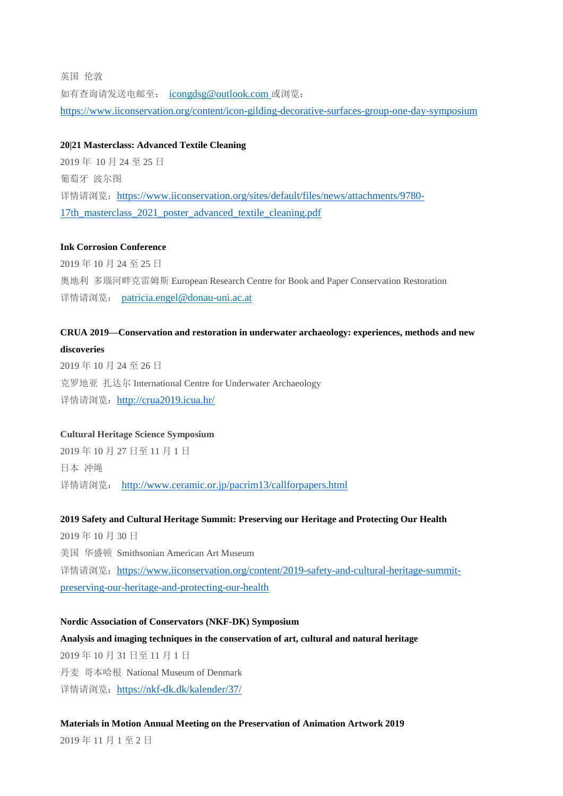英国 伦敦 如有查询请发送电邮至: [icongdsg@outlook.com](mailto:icongdsg@outlook.com) 或浏览: <https://www.iiconservation.org/content/icon-gilding-decorative-surfaces-group-one-day-symposium>

#### **20|21 Masterclass: Advanced Textile Cleaning**

2019 年 10 月 24 至 25 日 葡萄牙 波尔图 详情请浏览: [https://www.iiconservation.org/sites/default/files/news/attachments/9780-](https://www.iiconservation.org/sites/default/files/news/attachments/9780-17th_masterclass_2021_poster_advanced_textile_cleaning.pdf) [17th\\_masterclass\\_2021\\_poster\\_advanced\\_textile\\_cleaning.pdf](https://www.iiconservation.org/sites/default/files/news/attachments/9780-17th_masterclass_2021_poster_advanced_textile_cleaning.pdf)

#### **Ink Corrosion Conference**

2019 年 10 月 24 至 25 日 奥地利 多瑙河畔克雷姆斯 European Research Centre for Book and Paper Conservation Restoration 详情请浏览: [patricia.engel@donau-uni.ac.at](mailto:patricia.engel@donau-uni.ac.at)

# **CRUA 2019—Conservation and restoration in underwater archaeology: experiences, methods and new**

**discoveries**

2019 年 10 月 24 至 26 日 克罗地亚 扎达尔 International Centre for Underwater Archaeology 详情请浏览: <http://crua2019.icua.hr/>

#### **Cultural Heritage Science Symposium**

2019 年 10 月 27 日至 11 月 1 日 日本 冲绳 详情请浏览: <http://www.ceramic.or.jp/pacrim13/callforpapers.html>

#### **2019 Safety and Cultural Heritage Summit: Preserving our Heritage and Protecting Our Health**

2019 年 10 月 30 日 美国 华盛顿 Smithsonian American Art Museum 详情请浏览: [https://www.iiconservation.org/content/2019-safety-and-cultural-heritage-summit](https://www.iiconservation.org/content/2019-safety-and-cultural-heritage-summit-preserving-our-heritage-and-protecting-our-health)[preserving-our-heritage-and-protecting-our-health](https://www.iiconservation.org/content/2019-safety-and-cultural-heritage-summit-preserving-our-heritage-and-protecting-our-health)

**Nordic Association of Conservators (NKF-DK) Symposium Analysis and imaging techniques in the conservation of art, cultural and natural heritage** 2019 年 10 月 31 日至 11 月 1 日 丹麦 哥本哈根 National Museum of Denmark 详情请浏览: <https://nkf-dk.dk/kalender/37/>

#### **Materials in Motion Annual Meeting on the Preservation of Animation Artwork 2019**

2019 年 11 月 1 至 2 日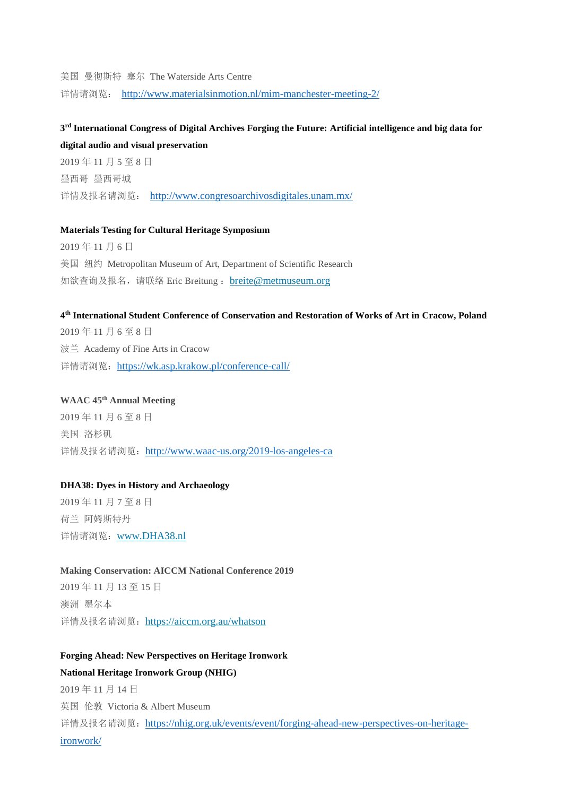美国 曼彻斯特 塞尔 The Waterside Arts Centre 详情请浏览: <http://www.materialsinmotion.nl/mim-manchester-meeting-2/>

# **3 rd International Congress of Digital Archives Forging the Future: Artificial intelligence and big data for digital audio and visual preservation**

2019 年 11 月 5 至 8 日 墨西哥 墨西哥城 详情及报名请浏览: <http://www.congresoarchivosdigitales.unam.mx/>

#### **Materials Testing for Cultural Heritage Symposium**

2019 年 11 月 6 日 美国 纽约 Metropolitan Museum of Art, Department of Scientific Research 如欲查询及报名,请联络 Eric Breitung: [breite@metmuseum.org](mailto:breite@metmuseum.org)

#### **4 th International Student Conference of Conservation and Restoration of Works of Art in Cracow, Poland**

2019 年 11 月 6 至 8 日 波兰 Academy of Fine Arts in Cracow 详情请浏览: <https://wk.asp.krakow.pl/conference-call/>

# **WAAC 45th Annual Meeting**

2019 年 11 月 6 至 8 日 美国 洛杉矶 详情及报名请浏览: <http://www.waac-us.org/2019-los-angeles-ca>

#### **DHA38: Dyes in History and Archaeology**

2019 年 11 月 7 至 8 日 荷兰 阿姆斯特丹 详情请浏览:[www.DHA38.nl](http://www.dha38.nl/)

#### **Making Conservation: AICCM National Conference 2019**

2019 年 11 月 13 至 15 日 澳洲 墨尔本 详情及报名请浏览: <https://aiccm.org.au/whatson>

# **Forging Ahead: New Perspectives on Heritage Ironwork**

# **National Heritage Ironwork Group (NHIG)**

2019 年 11 月 14 日 英国 伦敦 Victoria & Albert Museum 详情及报名请浏览: [https://nhig.org.uk/events/event/forging-ahead-new-perspectives-on-heritage](https://nhig.org.uk/events/event/forging-ahead-new-perspectives-on-heritage-ironwork/)[ironwork/](https://nhig.org.uk/events/event/forging-ahead-new-perspectives-on-heritage-ironwork/)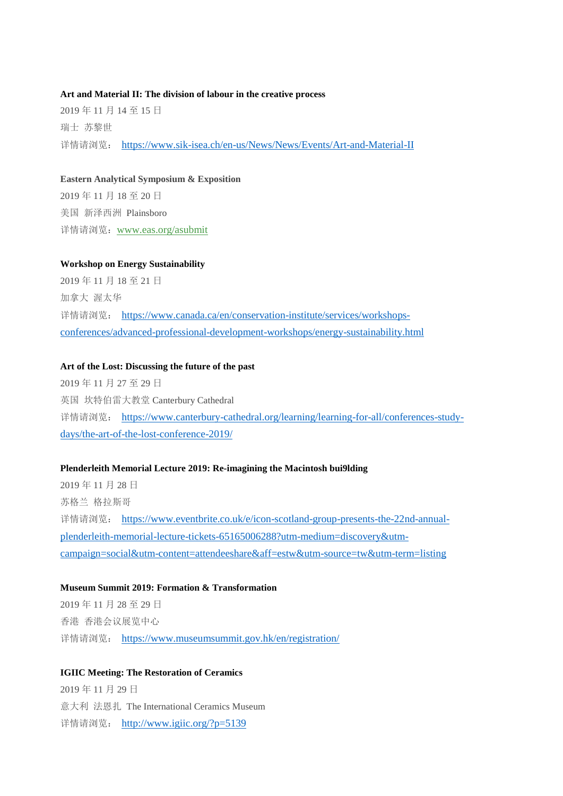#### **Art and Material II: The division of labour in the creative process**

2019 年 11 月 14 至 15 日 瑞士 苏黎世 详情请浏览: <https://www.sik-isea.ch/en-us/News/News/Events/Art-and-Material-II>

#### **Eastern Analytical Symposium & Exposition**

2019 年 11 月 18 至 20 日 美国 新泽西洲 Plainsboro 详情请浏览:[www.eas.org/asubmit](http://r20.rs6.net/tn.jsp?f=001oHEvvWGwSS2ozJQ0sOvm1zQvZ0_HV2nPIwqdFoRFzHUdiV_NAc5KzTRzJfNd86cgpx7iKYQcDUgO1qX8F8cjNLFEAL15Z_kq-RPsChds6tGqpJs23t8f-9e1b76pE-Zm0D1zXGBS2WiNTEVUAY8b9g==&c=CDsiQWmaJ7CkzYVAqtDssm9St3YI7P5FS6avP4mM-_XDes5Smo8QJQ==&ch=YVwqrK6cZaWKnAVXi5t1lgDMUHftm69r88rNWtsydBtcip591VEHoQ==)

# **Workshop on Energy Sustainability**

2019 年 11 月 18 至 21 日 加拿大 渥太华 详情请浏览: [https://www.canada.ca/en/conservation-institute/services/workshops](https://www.canada.ca/en/conservation-institute/services/workshops-conferences/advanced-professional-development-workshops/energy-sustainability.html)[conferences/advanced-professional-development-workshops/energy-sustainability.html](https://www.canada.ca/en/conservation-institute/services/workshops-conferences/advanced-professional-development-workshops/energy-sustainability.html)

### **Art of the Lost: Discussing the future of the past**

2019 年 11 月 27 至 29 日 英国 坎特伯雷大教堂 Canterbury Cathedral 详情请浏览: [https://www.canterbury-cathedral.org/learning/learning-for-all/conferences-study](https://www.canterbury-cathedral.org/learning/learning-for-all/conferences-study-days/the-art-of-the-lost-conference-2019/)[days/the-art-of-the-lost-conference-2019/](https://www.canterbury-cathedral.org/learning/learning-for-all/conferences-study-days/the-art-of-the-lost-conference-2019/)

### **Plenderleith Memorial Lecture 2019: Re-imagining the Macintosh bui9lding**

2019 年 11 月 28 日 苏格兰 格拉斯哥 详情请浏览: [https://www.eventbrite.co.uk/e/icon-scotland-group-presents-the-22nd-annual](https://www.eventbrite.co.uk/e/icon-scotland-group-presents-the-22nd-annual-plenderleith-memorial-lecture-tickets-65165006288?utm-medium=discovery&utm-campaign=social&utm-content=attendeeshare&aff=estw&utm-source=tw&utm-term=listing)[plenderleith-memorial-lecture-tickets-65165006288?utm-medium=discovery&utm](https://www.eventbrite.co.uk/e/icon-scotland-group-presents-the-22nd-annual-plenderleith-memorial-lecture-tickets-65165006288?utm-medium=discovery&utm-campaign=social&utm-content=attendeeshare&aff=estw&utm-source=tw&utm-term=listing)[campaign=social&utm-content=attendeeshare&aff=estw&utm-source=tw&utm-term=listing](https://www.eventbrite.co.uk/e/icon-scotland-group-presents-the-22nd-annual-plenderleith-memorial-lecture-tickets-65165006288?utm-medium=discovery&utm-campaign=social&utm-content=attendeeshare&aff=estw&utm-source=tw&utm-term=listing)

# **Museum Summit 2019: Formation & Transformation**

2019 年 11 月 28 至 29 日 香港 香港会议展览中心 详情请浏览: <https://www.museumsummit.gov.hk/en/registration/>

#### **IGIIC Meeting: The Restoration of Ceramics**

2019 年 11 月 29 日 意大利 法恩扎 The International Ceramics Museum 详情请浏览: <http://www.igiic.org/?p=5139>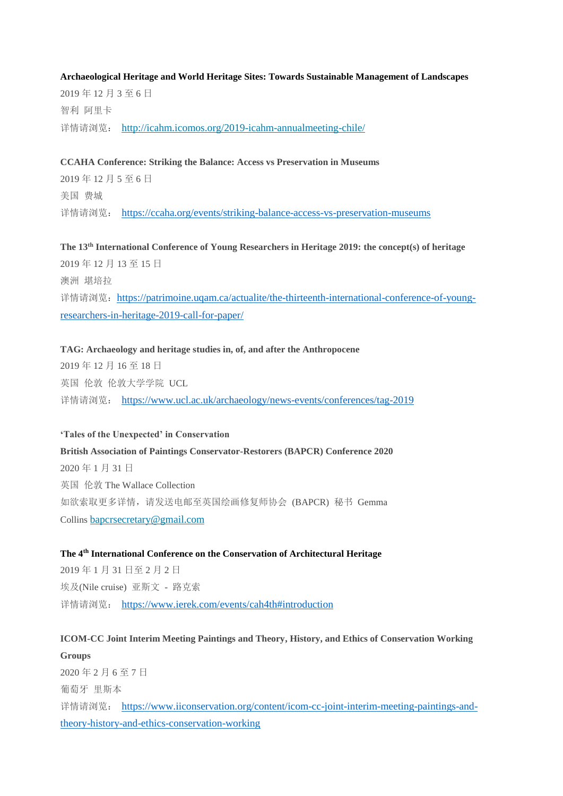#### **Archaeological Heritage and World Heritage Sites: Towards Sustainable Management of Landscapes**

2019 年 12 月 3 至 6 日 智利 阿里卡 详情请浏览: <http://icahm.icomos.org/2019-icahm-annualmeeting-chile/>

**CCAHA Conference: Striking the Balance: Access vs Preservation in Museums** 2019 年 12 月 5 至 6 日 美国 费城

详情请浏览: <https://ccaha.org/events/striking-balance-access-vs-preservation-museums>

**The 13th International Conference of Young Researchers in Heritage 2019: the concept(s) of heritage** 2019 年 12 月 13 至 15 日 澳洲 堪培拉 详情请浏览: [https://patrimoine.uqam.ca/actualite/the-thirteenth-international-conference-of-young](https://patrimoine.uqam.ca/actualite/the-thirteenth-international-conference-of-young-researchers-in-heritage-2019-call-for-paper/)[researchers-in-heritage-2019-call-for-paper/](https://patrimoine.uqam.ca/actualite/the-thirteenth-international-conference-of-young-researchers-in-heritage-2019-call-for-paper/)

**TAG: Archaeology and heritage studies in, of, and after the Anthropocene** 2019 年 12 月 16 至 18 日 英国 伦敦 伦敦大学学院 UCL 详情请浏览: <https://www.ucl.ac.uk/archaeology/news-events/conferences/tag-2019>

#### **'Tales of the Unexpected' in Conservation**

**British Association of Paintings Conservator-Restorers (BAPCR) Conference 2020** 2020 年 1 月 31 日 英国 伦敦 The Wallace Collection 如欲索取更多详情,请发送电邮至英国绘画修复师协会 (BAPCR) 秘书 Gemma Collins [bapcrsecretary@gmail.com](mailto:bapcrsecretary@gmail.com)

# **The 4th International Conference on the Conservation of Architectural Heritage**

2019 年 1 月 31 日至 2 月 2 日 埃及(Nile cruise) 亚斯文 - 路克索 详情请浏览: <https://www.ierek.com/events/cah4th#introduction>

# **ICOM-CC Joint Interim Meeting Paintings and Theory, History, and Ethics of Conservation Working Groups**

2020 年 2 月 6 至 7 日 葡萄牙 里斯本 详情请浏览: [https://www.iiconservation.org/content/icom-cc-joint-interim-meeting-paintings-and](https://www.iiconservation.org/content/icom-cc-joint-interim-meeting-paintings-and-theory-history-and-ethics-conservation-working)[theory-history-and-ethics-conservation-working](https://www.iiconservation.org/content/icom-cc-joint-interim-meeting-paintings-and-theory-history-and-ethics-conservation-working)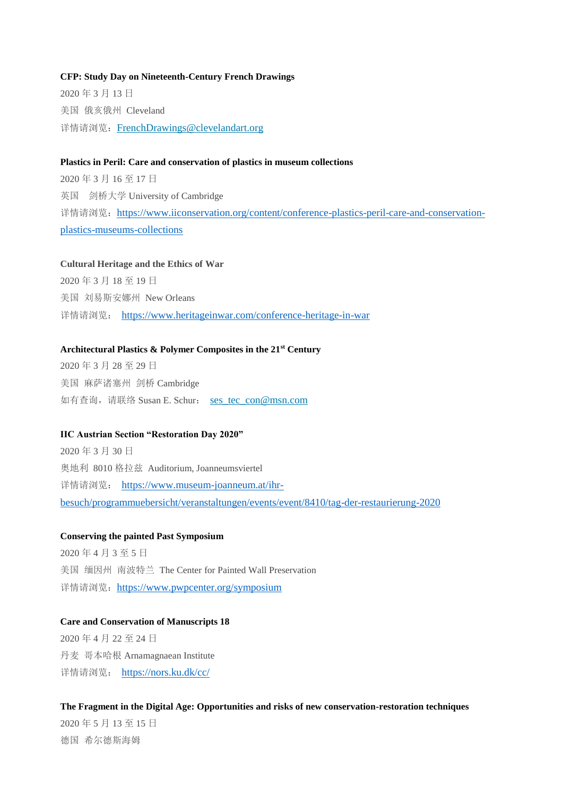#### **CFP: Study Day on Nineteenth-Century French Drawings**

2020 年 3 月 13 日 美国 俄亥俄州 Cleveland 详情请浏览: [FrenchDrawings@clevelandart.org](mailto:FrenchDrawings@clevelandart.org)

#### **Plastics in Peril: Care and conservation of plastics in museum collections**

2020 年 3 月 16 至 17 日 英国 剑桥大学 University of Cambridge 详情请浏览: [https://www.iiconservation.org/content/conference-plastics-peril-care-and-conservation](https://www.iiconservation.org/content/conference-plastics-peril-care-and-conservation-plastics-museums-collections)[plastics-museums-collections](https://www.iiconservation.org/content/conference-plastics-peril-care-and-conservation-plastics-museums-collections)

### **Cultural Heritage and the Ethics of War**

2020 年 3 月 18 至 19 日 美国 刘易斯安娜州 New Orleans 详情请浏览: <https://www.heritageinwar.com/conference-heritage-in-war>

#### **Architectural Plastics & Polymer Composites in the 21st Century**

2020 年 3 月 28 至 29 日 美国 麻萨诸塞州 剑桥 Cambridge 如有查询, 请联络 Susan E. Schur: [ses\\_tec\\_con@msn.com](mailto:ses_tec_con@msn.com)

#### **IIC Austrian Section "Restoration Day 2020"**

2020 年 3 月 30 日 奥地利 8010 格拉兹 Auditorium, Joanneumsviertel 详情请浏览: [https://www.museum-joanneum.at/ihr](https://www.museum-joanneum.at/ihr-besuch/programmuebersicht/veranstaltungen/events/event/8410/tag-der-restaurierung-2020)[besuch/programmuebersicht/veranstaltungen/events/event/8410/tag-der-restaurierung-2020](https://www.museum-joanneum.at/ihr-besuch/programmuebersicht/veranstaltungen/events/event/8410/tag-der-restaurierung-2020)

#### **Conserving the painted Past Symposium**

2020 年 4 月 3 至 5 日 美国 缅因州 南波特兰 The Center for Painted Wall Preservation 详情请浏览: <https://www.pwpcenter.org/symposium>

#### **Care and Conservation of Manuscripts 18**

2020 年 4 月 22 至 24 日 丹麦 哥本哈根 Arnamagnaean Institute 详情请浏览: <https://nors.ku.dk/cc/>

#### **The Fragment in the Digital Age: Opportunities and risks of new conservation-restoration techniques**

2020 年 5 月 13 至 15 日 德国 希尔德斯海姆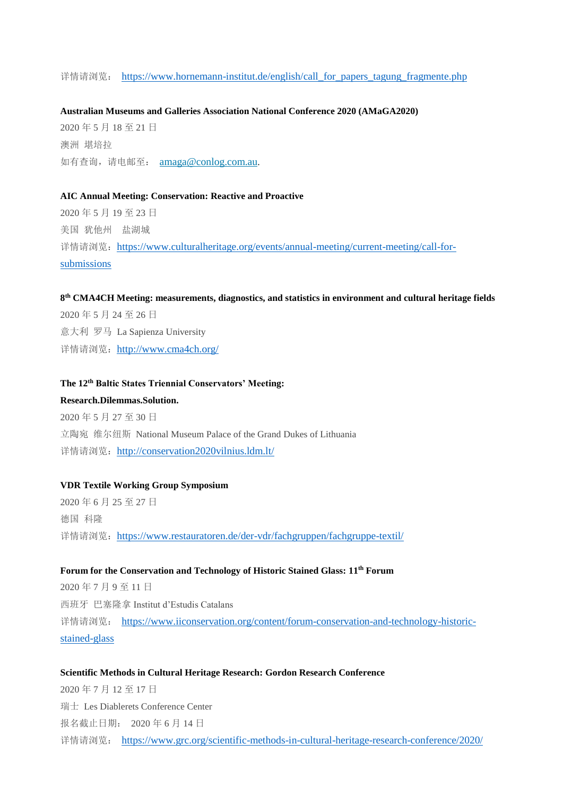详情请浏览: [https://www.hornemann-institut.de/english/call\\_for\\_papers\\_tagung\\_fragmente.php](https://www.hornemann-institut.de/english/call_for_papers_tagung_fragmente.php)

#### **Australian Museums and Galleries Association National Conference 2020 (AMaGA2020)**

2020 年 5 月 18 至 21 日 澳洲 堪培拉 如有查询,请电邮至: [amaga@conlog.com.au](mailto:amaga@conlog.com.au).

#### **AIC Annual Meeting: Conservation: Reactive and Proactive**

2020 年 5 月 19 至 23 日 美国 犹他州 盐湖城 详情请浏览: [https://www.culturalheritage.org/events/annual-meeting/current-meeting/call-for](https://www.culturalheritage.org/events/annual-meeting/current-meeting/call-for-submissions)[submissions](https://www.culturalheritage.org/events/annual-meeting/current-meeting/call-for-submissions)

#### **8 th CMA4CH Meeting: measurements, diagnostics, and statistics in environment and cultural heritage fields**

2020 年 5 月 24 至 26 日 意大利 罗马 La Sapienza University 详情请浏览: <http://www.cma4ch.org/>

#### **The 12th Baltic States Triennial Conservators' Meeting:**

**Research.Dilemmas.Solution.** 2020 年 5 月 27 至 30 日 立陶宛 维尔纽斯 National Museum Palace of the Grand Dukes of Lithuania 详情请浏览: <http://conservation2020vilnius.ldm.lt/>

#### **VDR Textile Working Group Symposium**

2020 年 6 月 25 至 27 日 德国 科隆 详情请浏览: <https://www.restauratoren.de/der-vdr/fachgruppen/fachgruppe-textil/>

#### **Forum for the Conservation and Technology of Historic Stained Glass: 11th Forum**

2020 年 7 月 9 至 11 日 西班牙 巴塞隆拿 Institut d'Estudis Catalans 详情请浏览: [https://www.iiconservation.org/content/forum-conservation-and-technology-historic](https://www.iiconservation.org/content/forum-conservation-and-technology-historic-stained-glass)[stained-glass](https://www.iiconservation.org/content/forum-conservation-and-technology-historic-stained-glass)

#### **Scientific Methods in Cultural Heritage Research: Gordon Research Conference**

2020 年 7 月 12 至 17 日 瑞士 Les Diablerets Conference Center 报名截止日期: 2020 年 6 月 14 日 详情请浏览: <https://www.grc.org/scientific-methods-in-cultural-heritage-research-conference/2020/>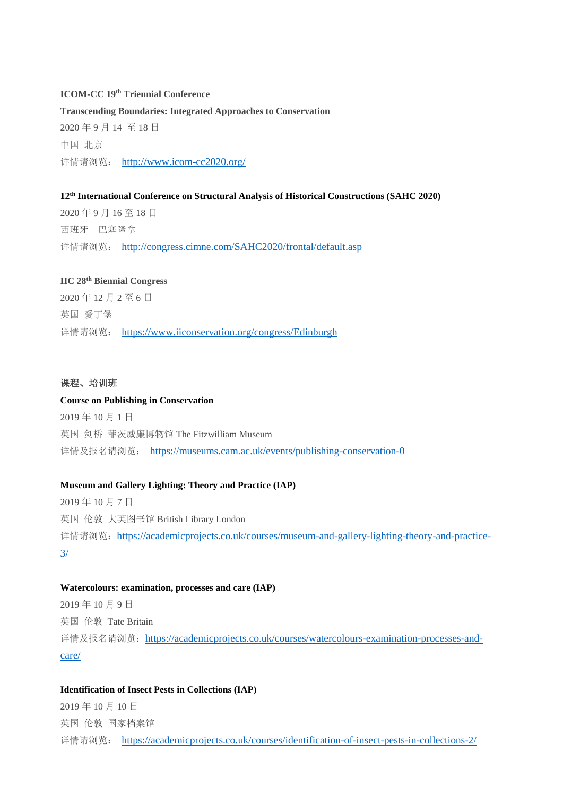#### **ICOM-CC 19th Triennial Conference**

**Transcending Boundaries: Integrated Approaches to Conservation** 2020 年 9 月 14 至 18 日 中国 北京 详情请浏览: <http://www.icom-cc2020.org/>

### **12th International Conference on Structural Analysis of Historical Constructions (SAHC 2020)**

2020 年 9 月 16 至 18 日 西班牙 巴塞隆拿 详情请浏览: <http://congress.cimne.com/SAHC2020/frontal/default.asp>

#### **IIC 28th Biennial Congress**

2020 年 12 月 2 至 6 日 英国 爱丁堡 详情请浏览: <https://www.iiconservation.org/congress/Edinburgh>

#### 课程、培训班

#### **Course on Publishing in Conservation**

2019 年 10 月 1 日 英国 剑桥 菲茨威廉博物馆 The Fitzwilliam Museum 详情及报名请浏览: <https://museums.cam.ac.uk/events/publishing-conservation-0>

#### **Museum and Gallery Lighting: Theory and Practice (IAP)**

2019 年 10 月 7 日 英国 伦敦 大英图书馆 British Library London 详情请浏览: [https://academicprojects.co.uk/courses/museum-and-gallery-lighting-theory-and-practice-](https://academicprojects.co.uk/courses/museum-and-gallery-lighting-theory-and-practice-3/)[3/](https://academicprojects.co.uk/courses/museum-and-gallery-lighting-theory-and-practice-3/)

#### **Watercolours: examination, processes and care (IAP)**

2019 年 10 月 9 日 英国 伦敦 Tate Britain 详情及报名请浏览: [https://academicprojects.co.uk/courses/watercolours-examination-processes-and](https://academicprojects.co.uk/courses/watercolours-examination-processes-and-care/)[care/](https://academicprojects.co.uk/courses/watercolours-examination-processes-and-care/)

#### **Identification of Insect Pests in Collections (IAP)**

2019 年 10 月 10 日 英国 伦敦 国家档案馆 详情请浏览: <https://academicprojects.co.uk/courses/identification-of-insect-pests-in-collections-2/>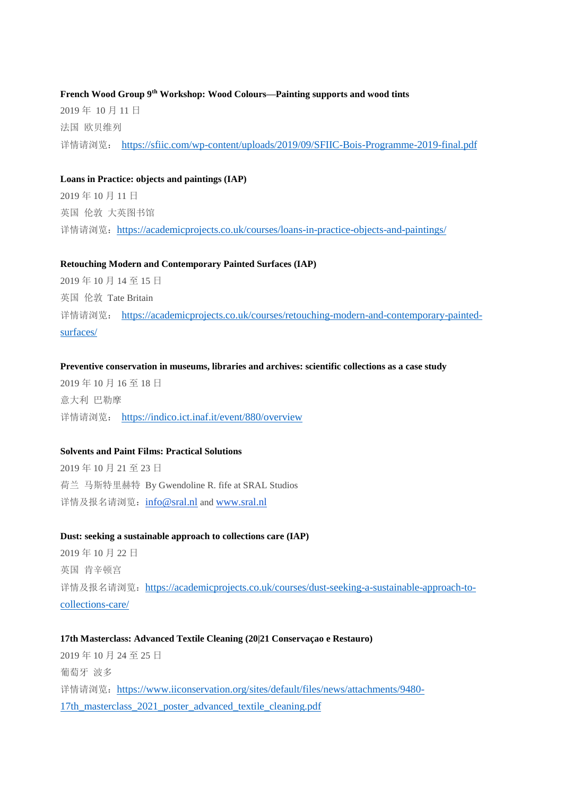**French Wood Group 9th Workshop: Wood Colours—Painting supports and wood tints** 2019 年 10 月 11 日 法国 欧贝维列 详情请浏览: <https://sfiic.com/wp-content/uploads/2019/09/SFIIC-Bois-Programme-2019-final.pdf>

#### **Loans in Practice: objects and paintings (IAP)**

2019 年 10 月 11 日 英国 伦敦 大英图书馆 详情请浏览: <https://academicprojects.co.uk/courses/loans-in-practice-objects-and-paintings/>

#### **Retouching Modern and Contemporary Painted Surfaces (IAP)**

2019 年 10 月 14 至 15 日 英国 伦敦 Tate Britain 详情请浏览: [https://academicprojects.co.uk/courses/retouching-modern-and-contemporary-painted](https://academicprojects.co.uk/courses/retouching-modern-and-contemporary-painted-surfaces/)[surfaces/](https://academicprojects.co.uk/courses/retouching-modern-and-contemporary-painted-surfaces/)

#### **Preventive conservation in museums, libraries and archives: scientific collections as a case study**

2019 年 10 月 16 至 18 日 意大利 巴勒摩 详情请浏览: <https://indico.ict.inaf.it/event/880/overview>

#### **Solvents and Paint Films: Practical Solutions**

2019 年 10 月 21 至 23 日 荷兰 马斯特里赫特 By Gwendoline R. fife at SRAL Studios 详情及报名请浏览: [info@sral.nl](mailto:info@sral.nl) and [www.sral.nl](http://www.sral.nl/)

#### **Dust: seeking a sustainable approach to collections care (IAP)**

2019 年 10 月 22 日 英国 肯辛顿宫 详情及报名请浏览: [https://academicprojects.co.uk/courses/dust-seeking-a-sustainable-approach-to](https://academicprojects.co.uk/courses/dust-seeking-a-sustainable-approach-to-collections-care/)[collections-care/](https://academicprojects.co.uk/courses/dust-seeking-a-sustainable-approach-to-collections-care/)

### **17th Masterclass: Advanced Textile Cleaning (20|21 Conservaçao e Restauro)**

2019 年 10 月 24 至 25 日 葡萄牙 波多 详情请浏览: [https://www.iiconservation.org/sites/default/files/news/attachments/9480-](https://www.iiconservation.org/sites/default/files/news/attachments/9480-17th_masterclass_2021_poster_advanced_textile_cleaning.pdf) [17th\\_masterclass\\_2021\\_poster\\_advanced\\_textile\\_cleaning.pdf](https://www.iiconservation.org/sites/default/files/news/attachments/9480-17th_masterclass_2021_poster_advanced_textile_cleaning.pdf)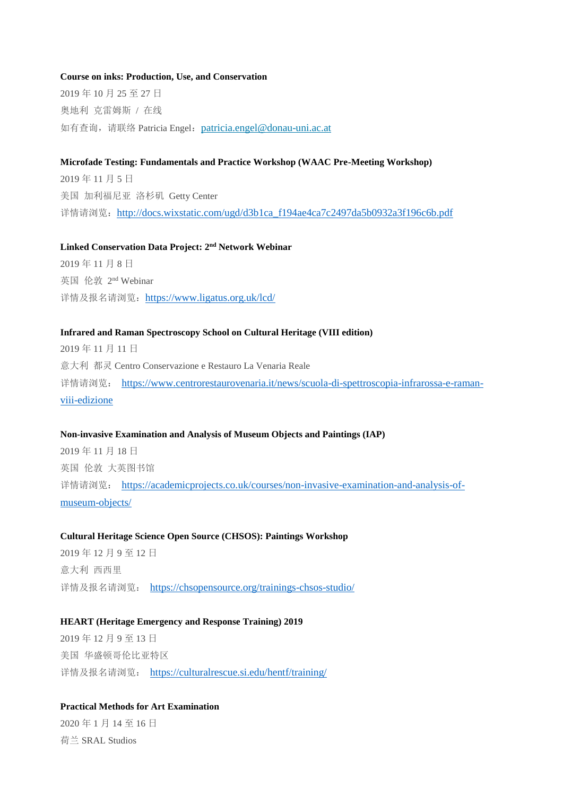#### **Course on inks: Production, Use, and Conservation**

2019 年 10 月 25 至 27 日 奥地利 克雷姆斯 / 在线 如有查询, 请联络 Patricia Engel: [patricia.engel@donau-uni.ac.at](mailto:patricia.engel@donau-uni.ac.at)

#### **Microfade Testing: Fundamentals and Practice Workshop (WAAC Pre-Meeting Workshop)**

2019 年 11 月 5 日 美国 加利福尼亚 洛杉矶 Getty Center 详情请浏览: http://docs.wixstatic.com/ugd/d3b1ca f194ae4ca7c2497da5b0932a3f196c6b.pdf

#### **Linked Conservation Data Project: 2 nd Network Webinar**

2019 年 11 月 8 日 英国 伦敦 2 nd Webinar 详情及报名请浏览: <https://www.ligatus.org.uk/lcd/>

#### **Infrared and Raman Spectroscopy School on Cultural Heritage (VIII edition)**

2019 年 11 月 11 日 意大利 都灵 Centro Conservazione e Restauro La Venaria Reale 详情请浏览: [https://www.centrorestaurovenaria.it/news/scuola-di-spettroscopia-infrarossa-e-raman](https://www.centrorestaurovenaria.it/news/scuola-di-spettroscopia-infrarossa-e-raman-viii-edizione)[viii-edizione](https://www.centrorestaurovenaria.it/news/scuola-di-spettroscopia-infrarossa-e-raman-viii-edizione)

#### **Non-invasive Examination and Analysis of Museum Objects and Paintings (IAP)**

2019 年 11 月 18 日 英国 伦敦 大英图书馆 详情请浏览: [https://academicprojects.co.uk/courses/non-invasive-examination-and-analysis-of](https://academicprojects.co.uk/courses/non-invasive-examination-and-analysis-of-museum-objects/)[museum-objects/](https://academicprojects.co.uk/courses/non-invasive-examination-and-analysis-of-museum-objects/)

#### **Cultural Heritage Science Open Source (CHSOS): Paintings Workshop**

2019 年 12 月 9 至 12 日 意大利 西西里 详情及报名请浏览: <https://chsopensource.org/trainings-chsos-studio/>

#### **HEART (Heritage Emergency and Response Training) 2019**

2019 年 12 月 9 至 13 日 美国 华盛顿哥伦比亚特区 详情及报名请浏览: <https://culturalrescue.si.edu/hentf/training/>

### **Practical Methods for Art Examination**

2020 年 1 月 14 至 16 日 荷兰 SRAL Studios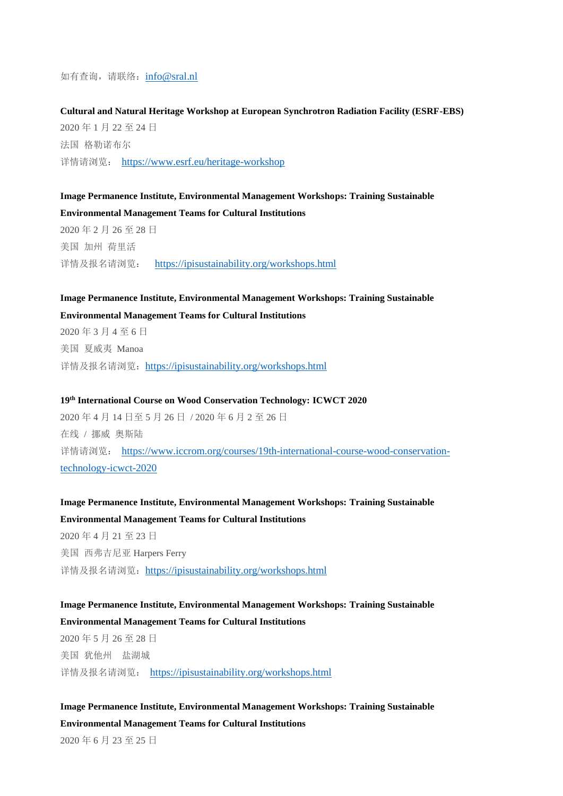如有查询,请联络:[info@sral.nl](mailto:info@sral.nl)

**Cultural and Natural Heritage Workshop at European Synchrotron Radiation Facility (ESRF-EBS)** 2020 年 1 月 22 至 24 日 法国 格勒诺布尔 详情请浏览: <https://www.esrf.eu/heritage-workshop>

**Image Permanence Institute, Environmental Management Workshops: Training Sustainable Environmental Management Teams for Cultural Institutions** 2020 年 2 月 26 至 28 日

美国 加州 荷里活 详情及报名请浏览: <https://ipisustainability.org/workshops.html>

# **Image Permanence Institute, Environmental Management Workshops: Training Sustainable Environmental Management Teams for Cultural Institutions**

2020 年 3 月 4 至 6 日 美国 夏威夷 Manoa 详情及报名请浏览: <https://ipisustainability.org/workshops.html>

**19th International Course on Wood Conservation Technology: ICWCT 2020**

2020 年 4 月 14 日至 5 月 26 日 / 2020 年 6 月 2 至 26 日 在线 / 挪威 奥斯陆 详情请浏览: [https://www.iccrom.org/courses/19th-international-course-wood-conservation](https://www.iccrom.org/courses/19th-international-course-wood-conservation-technology-icwct-2020)[technology-icwct-2020](https://www.iccrom.org/courses/19th-international-course-wood-conservation-technology-icwct-2020)

# **Image Permanence Institute, Environmental Management Workshops: Training Sustainable Environmental Management Teams for Cultural Institutions** 2020 年 4 月 21 至 23 日 美国 西弗吉尼亚 Harpers Ferry

详情及报名请浏览: <https://ipisustainability.org/workshops.html>

# **Image Permanence Institute, Environmental Management Workshops: Training Sustainable Environmental Management Teams for Cultural Institutions**

2020 年 5 月 26 至 28 日 美国 犹他州 盐湖城 详情及报名请浏览: <https://ipisustainability.org/workshops.html>

# **Image Permanence Institute, Environmental Management Workshops: Training Sustainable Environmental Management Teams for Cultural Institutions**

2020 年 6 月 23 至 25 日